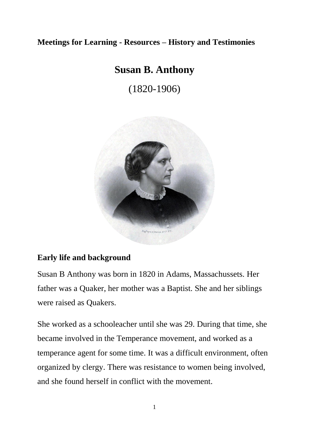### **Meetings for Learning - Resources – History and Testimonies**

# **Susan B. Anthony**

(1820-1906)



#### **Early life and background**

Susan B Anthony was born in 1820 in Adams, Massachussets. Her father was a Quaker, her mother was a Baptist. She and her siblings were raised as Quakers.

She worked as a schooleacher until she was 29. During that time, she became involved in the Temperance movement, and worked as a temperance agent for some time. It was a difficult environment, often organized by clergy. There was resistance to women being involved, and she found herself in conflict with the movement.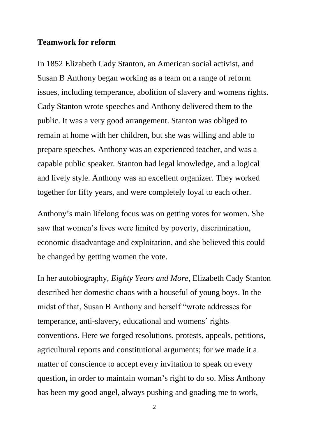#### **Teamwork for reform**

In 1852 Elizabeth Cady Stanton, an American social activist, and Susan B Anthony began working as a team on a range of reform issues, including temperance, abolition of slavery and womens rights. Cady Stanton wrote speeches and Anthony delivered them to the public. It was a very good arrangement. Stanton was obliged to remain at home with her children, but she was willing and able to prepare speeches. Anthony was an experienced teacher, and was a capable public speaker. Stanton had legal knowledge, and a logical and lively style. Anthony was an excellent organizer. They worked together for fifty years, and were completely loyal to each other.

Anthony's main lifelong focus was on getting votes for women. She saw that women's lives were limited by poverty, discrimination, economic disadvantage and exploitation, and she believed this could be changed by getting women the vote.

In her autobiography, *Eighty Years and More*, Elizabeth Cady Stanton described her domestic chaos with a houseful of young boys. In the midst of that, Susan B Anthony and herself "wrote addresses for temperance, anti-slavery, educational and womens' rights conventions. Here we forged resolutions, protests, appeals, petitions, agricultural reports and constitutional arguments; for we made it a matter of conscience to accept every invitation to speak on every question, in order to maintain woman's right to do so. Miss Anthony has been my good angel, always pushing and goading me to work,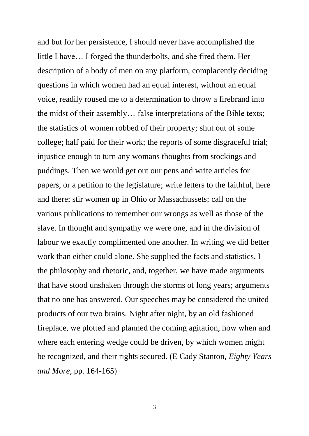and but for her persistence, I should never have accomplished the little I have… I forged the thunderbolts, and she fired them. Her description of a body of men on any platform, complacently deciding questions in which women had an equal interest, without an equal voice, readily roused me to a determination to throw a firebrand into the midst of their assembly… false interpretations of the Bible texts; the statistics of women robbed of their property; shut out of some college; half paid for their work; the reports of some disgraceful trial; injustice enough to turn any womans thoughts from stockings and puddings. Then we would get out our pens and write articles for papers, or a petition to the legislature; write letters to the faithful, here and there; stir women up in Ohio or Massachussets; call on the various publications to remember our wrongs as well as those of the slave. In thought and sympathy we were one, and in the division of labour we exactly complimented one another. In writing we did better work than either could alone. She supplied the facts and statistics, I the philosophy and rhetoric, and, together, we have made arguments that have stood unshaken through the storms of long years; arguments that no one has answered. Our speeches may be considered the united products of our two brains. Night after night, by an old fashioned fireplace, we plotted and planned the coming agitation, how when and where each entering wedge could be driven, by which women might be recognized, and their rights secured. (E Cady Stanton, *Eighty Years and More*, pp. 164-165)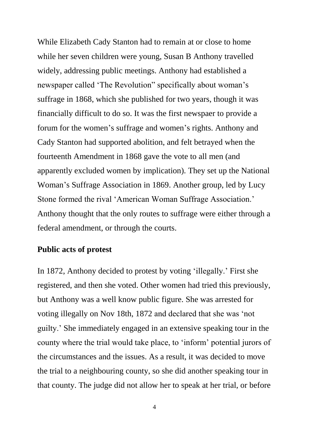While Elizabeth Cady Stanton had to remain at or close to home while her seven children were young, Susan B Anthony travelled widely, addressing public meetings. Anthony had established a newspaper called 'The Revolution" specifically about woman's suffrage in 1868, which she published for two years, though it was financially difficult to do so. It was the first newspaer to provide a forum for the women's suffrage and women's rights. Anthony and Cady Stanton had supported abolition, and felt betrayed when the fourteenth Amendment in 1868 gave the vote to all men (and apparently excluded women by implication). They set up the National Woman's Suffrage Association in 1869. Another group, led by Lucy Stone formed the rival 'American Woman Suffrage Association.' Anthony thought that the only routes to suffrage were either through a federal amendment, or through the courts.

#### **Public acts of protest**

In 1872, Anthony decided to protest by voting 'illegally.' First she registered, and then she voted. Other women had tried this previously, but Anthony was a well know public figure. She was arrested for voting illegally on Nov 18th, 1872 and declared that she was 'not guilty.' She immediately engaged in an extensive speaking tour in the county where the trial would take place, to 'inform' potential jurors of the circumstances and the issues. As a result, it was decided to move the trial to a neighbouring county, so she did another speaking tour in that county. The judge did not allow her to speak at her trial, or before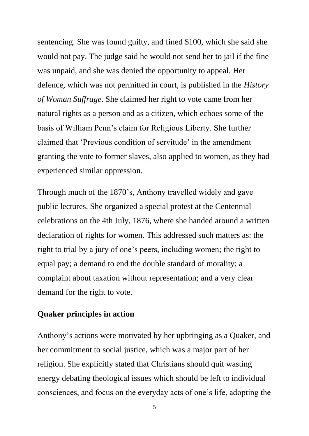sentencing. She was found guilty, and fined \$100, which she said she would not pay. The judge said he would not send her to jail if the fine was unpaid, and she was denied the opportunity to appeal. Her defence, which was not permitted in court, is published in the *History of Woman Suffrage*. She claimed her right to vote came from her natural rights as a person and as a citizen, which echoes some of the basis of William Penn's claim for Religious Liberty. She further claimed that 'Previous condition of servitude' in the amendment granting the vote to former slaves, also applied to women, as they had experienced similar oppression.

Through much of the 1870's, Anthony travelled widely and gave public lectures. She organized a special protest at the Centennial celebrations on the 4th July, 1876, where she handed around a written declaration of rights for women. This addressed such matters as: the right to trial by a jury of one's peers, including women; the right to equal pay; a demand to end the double standard of morality; a complaint about taxation without representation; and a very clear demand for the right to vote.

#### **Quaker principles in action**

Anthony's actions were motivated by her upbringing as a Quaker, and her commitment to social justice, which was a major part of her religion. She explicitly stated that Christians should quit wasting energy debating theological issues which should be left to individual consciences, and focus on the everyday acts of one's life, adopting the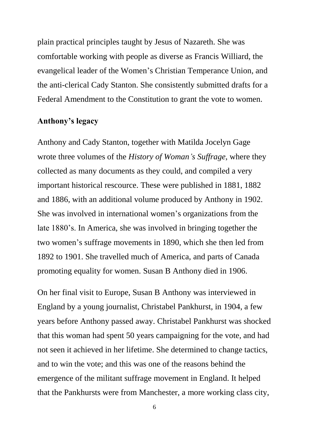plain practical principles taught by Jesus of Nazareth. She was comfortable working with people as diverse as Francis Williard, the evangelical leader of the Women's Christian Temperance Union, and the anti-clerical Cady Stanton. She consistently submitted drafts for a Federal Amendment to the Constitution to grant the vote to women.

### **Anthony's legacy**

Anthony and Cady Stanton, together with Matilda Jocelyn Gage wrote three volumes of the *History of Woman's Suffrage*, where they collected as many documents as they could, and compiled a very important historical rescource. These were published in 1881, 1882 and 1886, with an additional volume produced by Anthony in 1902. She was involved in international women's organizations from the late 1880's. In America, she was involved in bringing together the two women's suffrage movements in 1890, which she then led from 1892 to 1901. She travelled much of America, and parts of Canada promoting equality for women. Susan B Anthony died in 1906.

On her final visit to Europe, Susan B Anthony was interviewed in England by a young journalist, Christabel Pankhurst, in 1904, a few years before Anthony passed away. Christabel Pankhurst was shocked that this woman had spent 50 years campaigning for the vote, and had not seen it achieved in her lifetime. She determined to change tactics, and to win the vote; and this was one of the reasons behind the emergence of the militant suffrage movement in England. It helped that the Pankhursts were from Manchester, a more working class city,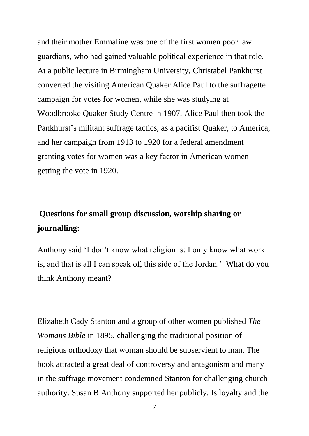and their mother Emmaline was one of the first women poor law guardians, who had gained valuable political experience in that role. At a public lecture in Birmingham University, Christabel Pankhurst converted the visiting American Quaker Alice Paul to the suffragette campaign for votes for women, while she was studying at Woodbrooke Quaker Study Centre in 1907. Alice Paul then took the Pankhurst's militant suffrage tactics, as a pacifist Quaker, to America, and her campaign from 1913 to 1920 for a federal amendment granting votes for women was a key factor in American women getting the vote in 1920.

# **Questions for small group discussion, worship sharing or journalling:**

Anthony said 'I don't know what religion is; I only know what work is, and that is all I can speak of, this side of the Jordan.' What do you think Anthony meant?

Elizabeth Cady Stanton and a group of other women published *The Womans Bible* in 1895, challenging the traditional position of religious orthodoxy that woman should be subservient to man. The book attracted a great deal of controversy and antagonism and many in the suffrage movement condemned Stanton for challenging church authority. Susan B Anthony supported her publicly. Is loyalty and the